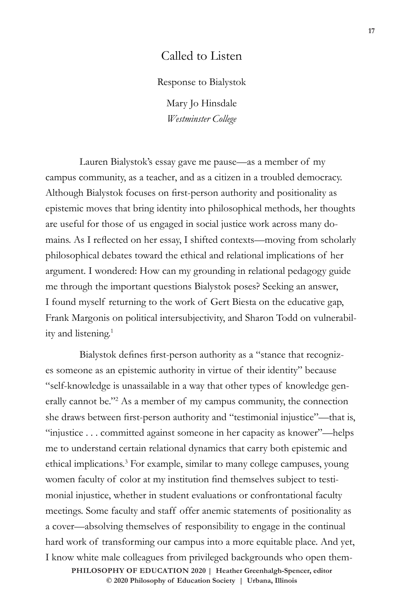## Called to Listen

Response to Bialystok

Mary Jo Hinsdale *Westminster College*

Lauren Bialystok's essay gave me pause—as a member of my campus community, as a teacher, and as a citizen in a troubled democracy. Although Bialystok focuses on first-person authority and positionality as epistemic moves that bring identity into philosophical methods, her thoughts are useful for those of us engaged in social justice work across many domains. As I reflected on her essay, I shifted contexts—moving from scholarly philosophical debates toward the ethical and relational implications of her argument. I wondered: How can my grounding in relational pedagogy guide me through the important questions Bialystok poses? Seeking an answer, I found myself returning to the work of Gert Biesta on the educative gap, Frank Margonis on political intersubjectivity, and Sharon Todd on vulnerability and listening.<sup>1</sup>

Bialystok defines first-person authority as a "stance that recognizes someone as an epistemic authority in virtue of their identity" because "self-knowledge is unassailable in a way that other types of knowledge generally cannot be."<sup>2</sup> As a member of my campus community, the connection she draws between first-person authority and "testimonial injustice"—that is, "injustice . . . committed against someone in her capacity as knower"—helps me to understand certain relational dynamics that carry both epistemic and ethical implications.3 For example, similar to many college campuses, young women faculty of color at my institution find themselves subject to testimonial injustice, whether in student evaluations or confrontational faculty meetings. Some faculty and staff offer anemic statements of positionality as a cover—absolving themselves of responsibility to engage in the continual hard work of transforming our campus into a more equitable place. And yet, I know white male colleagues from privileged backgrounds who open them-

 $\odot$  2020 Philosophy of Education Society | Urbana, Illinois **PHILOSOPHY OF EDUCATION 2020 | Heather Greenhalgh-Spencer, editor**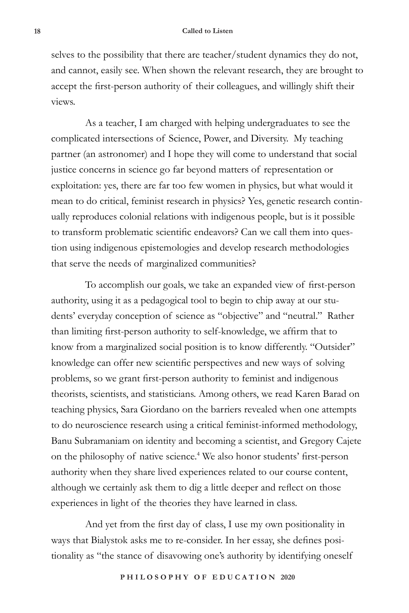selves to the possibility that there are teacher/student dynamics they do not, and cannot, easily see. When shown the relevant research, they are brought to accept the first-person authority of their colleagues, and willingly shift their views.

As a teacher, I am charged with helping undergraduates to see the complicated intersections of Science, Power, and Diversity. My teaching partner (an astronomer) and I hope they will come to understand that social justice concerns in science go far beyond matters of representation or exploitation: yes, there are far too few women in physics, but what would it mean to do critical, feminist research in physics? Yes, genetic research continually reproduces colonial relations with indigenous people, but is it possible to transform problematic scientific endeavors? Can we call them into question using indigenous epistemologies and develop research methodologies that serve the needs of marginalized communities?

To accomplish our goals, we take an expanded view of first-person authority, using it as a pedagogical tool to begin to chip away at our students' everyday conception of science as "objective" and "neutral." Rather than limiting first-person authority to self-knowledge, we affirm that to know from a marginalized social position is to know differently. "Outsider" knowledge can offer new scientific perspectives and new ways of solving problems, so we grant first-person authority to feminist and indigenous theorists, scientists, and statisticians. Among others, we read Karen Barad on teaching physics, Sara Giordano on the barriers revealed when one attempts to do neuroscience research using a critical feminist-informed methodology, Banu Subramaniam on identity and becoming a scientist, and Gregory Cajete on the philosophy of native science.4 We also honor students' first-person authority when they share lived experiences related to our course content, although we certainly ask them to dig a little deeper and reflect on those experiences in light of the theories they have learned in class.

And yet from the first day of class, I use my own positionality in ways that Bialystok asks me to re-consider. In her essay, she defines positionality as "the stance of disavowing one's authority by identifying oneself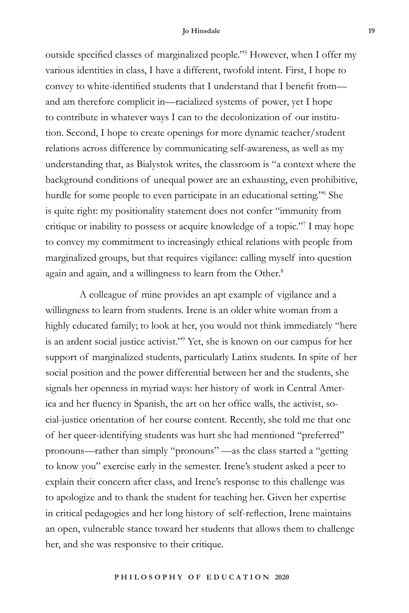## **Jo Hinsdale 19**

outside specified classes of marginalized people."<sup>5</sup> However, when I offer my various identities in class, I have a different, twofold intent. First, I hope to convey to white-identified students that I understand that I benefit from and am therefore complicit in—racialized systems of power, yet I hope to contribute in whatever ways I can to the decolonization of our institution. Second, I hope to create openings for more dynamic teacher/student relations across difference by communicating self-awareness, as well as my understanding that, as Bialystok writes, the classroom is "a context where the background conditions of unequal power are an exhausting, even prohibitive, hurdle for some people to even participate in an educational setting."6 She is quite right: my positionality statement does not confer "immunity from critique or inability to possess or acquire knowledge of a topic."7 I may hope to convey my commitment to increasingly ethical relations with people from marginalized groups, but that requires vigilance: calling myself into question again and again, and a willingness to learn from the Other.<sup>8</sup>

A colleague of mine provides an apt example of vigilance and a willingness to learn from students. Irene is an older white woman from a highly educated family; to look at her, you would not think immediately "here is an ardent social justice activist."9 Yet, she is known on our campus for her support of marginalized students, particularly Latinx students. In spite of her social position and the power differential between her and the students, she signals her openness in myriad ways: her history of work in Central America and her fluency in Spanish, the art on her office walls, the activist, social-justice orientation of her course content. Recently, she told me that one of her queer-identifying students was hurt she had mentioned "preferred" pronouns—rather than simply "pronouns" —as the class started a "getting to know you" exercise early in the semester. Irene's student asked a peer to explain their concern after class, and Irene's response to this challenge was to apologize and to thank the student for teaching her. Given her expertise in critical pedagogies and her long history of self-reflection, Irene maintains an open, vulnerable stance toward her students that allows them to challenge her, and she was responsive to their critique.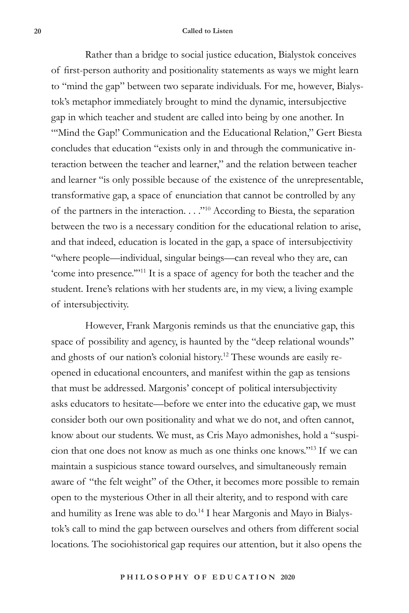## **20 Called to Listen**

Rather than a bridge to social justice education, Bialystok conceives of first-person authority and positionality statements as ways we might learn to "mind the gap" between two separate individuals. For me, however, Bialystok's metaphor immediately brought to mind the dynamic, intersubjective gap in which teacher and student are called into being by one another. In "'Mind the Gap!' Communication and the Educational Relation," Gert Biesta concludes that education "exists only in and through the communicative interaction between the teacher and learner," and the relation between teacher and learner "is only possible because of the existence of the unrepresentable, transformative gap, a space of enunciation that cannot be controlled by any of the partners in the interaction. . . ."10 According to Biesta, the separation between the two is a necessary condition for the educational relation to arise, and that indeed, education is located in the gap, a space of intersubjectivity "where people—individual, singular beings—can reveal who they are, can 'come into presence.'"11 It is a space of agency for both the teacher and the student. Irene's relations with her students are, in my view, a living example of intersubjectivity.

However, Frank Margonis reminds us that the enunciative gap, this space of possibility and agency, is haunted by the "deep relational wounds" and ghosts of our nation's colonial history.<sup>12</sup> These wounds are easily reopened in educational encounters, and manifest within the gap as tensions that must be addressed. Margonis' concept of political intersubjectivity asks educators to hesitate—before we enter into the educative gap, we must consider both our own positionality and what we do not, and often cannot, know about our students. We must, as Cris Mayo admonishes, hold a "suspicion that one does not know as much as one thinks one knows."13 If we can maintain a suspicious stance toward ourselves, and simultaneously remain aware of "the felt weight" of the Other, it becomes more possible to remain open to the mysterious Other in all their alterity, and to respond with care and humility as Irene was able to do.<sup>14</sup> I hear Margonis and Mayo in Bialystok's call to mind the gap between ourselves and others from different social locations. The sociohistorical gap requires our attention, but it also opens the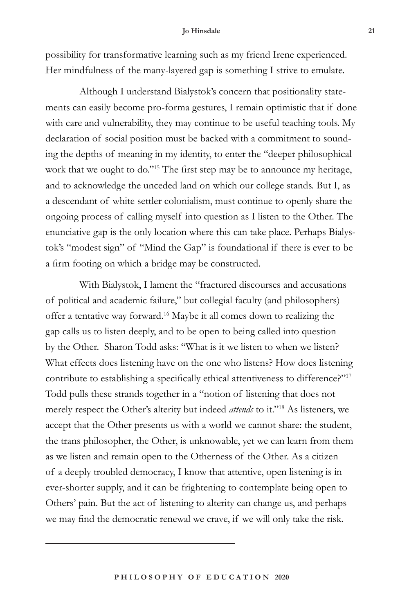## **Jo Hinsdale 21**

possibility for transformative learning such as my friend Irene experienced. Her mindfulness of the many-layered gap is something I strive to emulate.

Although I understand Bialystok's concern that positionality statements can easily become pro-forma gestures, I remain optimistic that if done with care and vulnerability, they may continue to be useful teaching tools. My declaration of social position must be backed with a commitment to sounding the depths of meaning in my identity, to enter the "deeper philosophical work that we ought to do."<sup>15</sup> The first step may be to announce my heritage, and to acknowledge the unceded land on which our college stands. But I, as a descendant of white settler colonialism, must continue to openly share the ongoing process of calling myself into question as I listen to the Other. The enunciative gap is the only location where this can take place. Perhaps Bialystok's "modest sign" of "Mind the Gap" is foundational if there is ever to be a firm footing on which a bridge may be constructed.

With Bialystok, I lament the "fractured discourses and accusations of political and academic failure," but collegial faculty (and philosophers) offer a tentative way forward.16 Maybe it all comes down to realizing the gap calls us to listen deeply, and to be open to being called into question by the Other. Sharon Todd asks: "What is it we listen to when we listen? What effects does listening have on the one who listens? How does listening contribute to establishing a specifically ethical attentiveness to difference?"<sup>17</sup> Todd pulls these strands together in a "notion of listening that does not merely respect the Other's alterity but indeed *attends* to it."18 As listeners, we accept that the Other presents us with a world we cannot share: the student, the trans philosopher, the Other, is unknowable, yet we can learn from them as we listen and remain open to the Otherness of the Other. As a citizen of a deeply troubled democracy, I know that attentive, open listening is in ever-shorter supply, and it can be frightening to contemplate being open to Others' pain. But the act of listening to alterity can change us, and perhaps we may find the democratic renewal we crave, if we will only take the risk.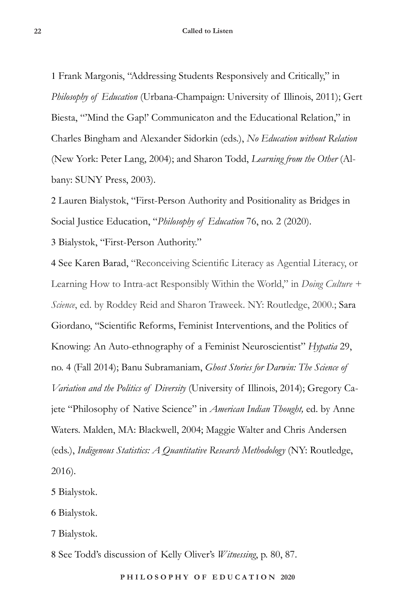1 Frank Margonis, "Addressing Students Responsively and Critically," in *Philosophy of Education* (Urbana-Champaign: University of Illinois, 2011); Gert Biesta, "'Mind the Gap!' Communicaton and the Educational Relation," in Charles Bingham and Alexander Sidorkin (eds.), *No Education without Relation* (New York: Peter Lang, 2004); and Sharon Todd, *Learning from the Other* (Albany: SUNY Press, 2003).

2 Lauren Bialystok, "First-Person Authority and Positionality as Bridges in Social Justice Education, "*Philosophy of Education* 76, no. 2 (2020).

3 Bialystok, "First-Person Authority."

4 See Karen Barad, "Reconceiving Scientific Literacy as Agential Literacy, or Learning How to Intra-act Responsibly Within the World," in *Doing Culture + Science*, ed. by Roddey Reid and Sharon Traweek. NY: Routledge, 2000.; Sara Giordano, "Scientific Reforms, Feminist Interventions, and the Politics of Knowing: An Auto-ethnography of a Feminist Neuroscientist" *Hypatia* 29, no. 4 (Fall 2014); Banu Subramaniam, *Ghost Stories for Darwin: The Science of Variation and the Politics of Diversity* (University of Illinois, 2014); Gregory Cajete "Philosophy of Native Science" in *American Indian Thought,* ed. by Anne Waters. Malden, MA: Blackwell, 2004; Maggie Walter and Chris Andersen (eds.), *Indigenous Statistics: A Quantitative Research Methodology* (NY: Routledge, 2016).

5 Bialystok.

6 Bialystok.

7 Bialystok.

8 See Todd's discussion of Kelly Oliver's *Witnessing*, p. 80, 87.